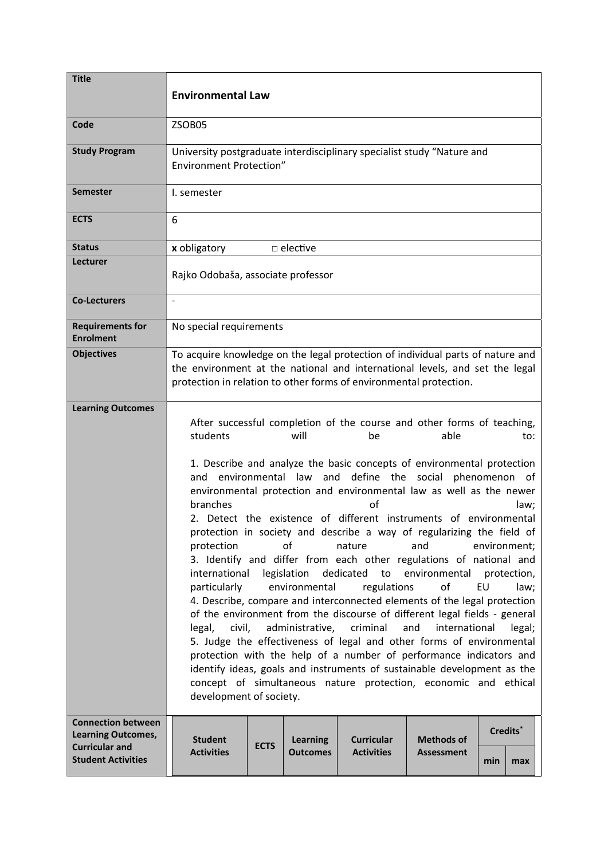| <b>Title</b>                                                                                                 | <b>Environmental Law</b>                                                                                                                                                                                                                                                                                                                                                                                                                                                                                                                                                                                                                                                                                                                                                                                                                                                                                                                                                                                                                                                                                                                                                                                                                                                                                                                                     |             |                                    |                                        |                                        |     |                             |  |
|--------------------------------------------------------------------------------------------------------------|--------------------------------------------------------------------------------------------------------------------------------------------------------------------------------------------------------------------------------------------------------------------------------------------------------------------------------------------------------------------------------------------------------------------------------------------------------------------------------------------------------------------------------------------------------------------------------------------------------------------------------------------------------------------------------------------------------------------------------------------------------------------------------------------------------------------------------------------------------------------------------------------------------------------------------------------------------------------------------------------------------------------------------------------------------------------------------------------------------------------------------------------------------------------------------------------------------------------------------------------------------------------------------------------------------------------------------------------------------------|-------------|------------------------------------|----------------------------------------|----------------------------------------|-----|-----------------------------|--|
| Code                                                                                                         | ZSOB05                                                                                                                                                                                                                                                                                                                                                                                                                                                                                                                                                                                                                                                                                                                                                                                                                                                                                                                                                                                                                                                                                                                                                                                                                                                                                                                                                       |             |                                    |                                        |                                        |     |                             |  |
| <b>Study Program</b>                                                                                         | University postgraduate interdisciplinary specialist study "Nature and<br><b>Environment Protection"</b>                                                                                                                                                                                                                                                                                                                                                                                                                                                                                                                                                                                                                                                                                                                                                                                                                                                                                                                                                                                                                                                                                                                                                                                                                                                     |             |                                    |                                        |                                        |     |                             |  |
| <b>Semester</b>                                                                                              | I. semester                                                                                                                                                                                                                                                                                                                                                                                                                                                                                                                                                                                                                                                                                                                                                                                                                                                                                                                                                                                                                                                                                                                                                                                                                                                                                                                                                  |             |                                    |                                        |                                        |     |                             |  |
| <b>ECTS</b>                                                                                                  | 6                                                                                                                                                                                                                                                                                                                                                                                                                                                                                                                                                                                                                                                                                                                                                                                                                                                                                                                                                                                                                                                                                                                                                                                                                                                                                                                                                            |             |                                    |                                        |                                        |     |                             |  |
| <b>Status</b>                                                                                                | x obligatory<br>$\Box$ elective                                                                                                                                                                                                                                                                                                                                                                                                                                                                                                                                                                                                                                                                                                                                                                                                                                                                                                                                                                                                                                                                                                                                                                                                                                                                                                                              |             |                                    |                                        |                                        |     |                             |  |
| Lecturer                                                                                                     | Rajko Odobaša, associate professor                                                                                                                                                                                                                                                                                                                                                                                                                                                                                                                                                                                                                                                                                                                                                                                                                                                                                                                                                                                                                                                                                                                                                                                                                                                                                                                           |             |                                    |                                        |                                        |     |                             |  |
| <b>Co-Lecturers</b>                                                                                          | $\overline{a}$                                                                                                                                                                                                                                                                                                                                                                                                                                                                                                                                                                                                                                                                                                                                                                                                                                                                                                                                                                                                                                                                                                                                                                                                                                                                                                                                               |             |                                    |                                        |                                        |     |                             |  |
| <b>Requirements for</b><br><b>Enrolment</b>                                                                  | No special requirements                                                                                                                                                                                                                                                                                                                                                                                                                                                                                                                                                                                                                                                                                                                                                                                                                                                                                                                                                                                                                                                                                                                                                                                                                                                                                                                                      |             |                                    |                                        |                                        |     |                             |  |
| <b>Objectives</b>                                                                                            | To acquire knowledge on the legal protection of individual parts of nature and<br>the environment at the national and international levels, and set the legal<br>protection in relation to other forms of environmental protection.                                                                                                                                                                                                                                                                                                                                                                                                                                                                                                                                                                                                                                                                                                                                                                                                                                                                                                                                                                                                                                                                                                                          |             |                                    |                                        |                                        |     |                             |  |
| <b>Learning Outcomes</b>                                                                                     | After successful completion of the course and other forms of teaching,<br>students<br>will<br>able<br>be<br>to:<br>1. Describe and analyze the basic concepts of environmental protection<br>define the social<br>environmental law and<br>phenomenon of<br>and<br>environmental protection and environmental law as well as the newer<br>branches<br>of<br>law;<br>2. Detect the existence of different instruments of environmental<br>protection in society and describe a way of regularizing the field of<br>protection<br>οf<br>nature<br>and<br>environment;<br>3. Identify and differ from each other regulations of national and<br>legislation dedicated to environmental<br>international<br>protection,<br>of<br>particularly<br>environmental<br>regulations<br>EU<br>law;<br>4. Describe, compare and interconnected elements of the legal protection<br>of the environment from the discourse of different legal fields - general<br>administrative,<br>criminal<br>and<br>international<br>civil,<br>legal;<br>legal,<br>5. Judge the effectiveness of legal and other forms of environmental<br>protection with the help of a number of performance indicators and<br>identify ideas, goals and instruments of sustainable development as the<br>concept of simultaneous nature protection, economic and ethical<br>development of society. |             |                                    |                                        |                                        |     |                             |  |
| <b>Connection between</b><br><b>Learning Outcomes,</b><br><b>Curricular and</b><br><b>Student Activities</b> | <b>Student</b><br><b>Activities</b>                                                                                                                                                                                                                                                                                                                                                                                                                                                                                                                                                                                                                                                                                                                                                                                                                                                                                                                                                                                                                                                                                                                                                                                                                                                                                                                          | <b>ECTS</b> | <b>Learning</b><br><b>Outcomes</b> | <b>Curricular</b><br><b>Activities</b> | <b>Methods of</b><br><b>Assessment</b> | min | Credits <sup>*</sup><br>max |  |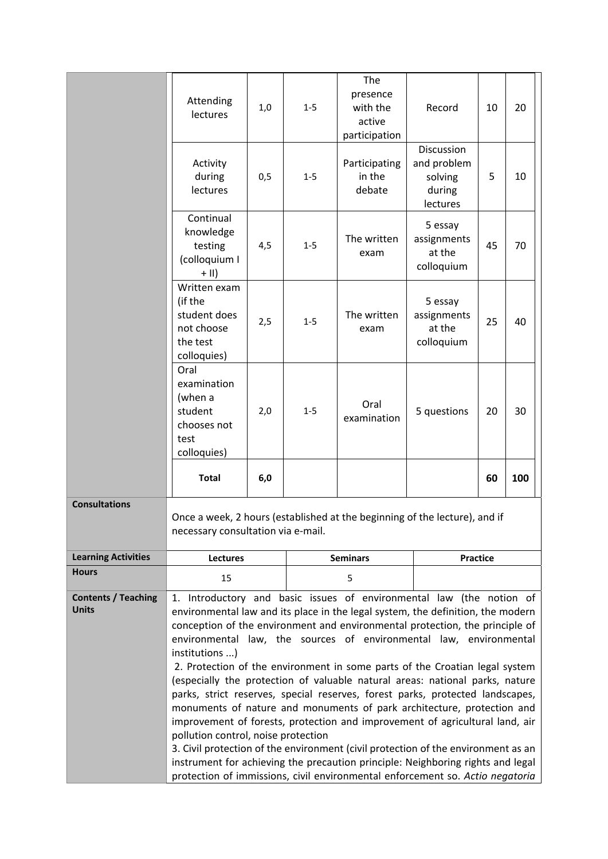|                                            | Attending                                                                                                                                                                                                                                                                                                                                                                                                                                                                                                                                                                                                                                                 | 1,0 | $1 - 5$         | The<br>presence<br>with the       | Record                                                     | 10 | 20  |
|--------------------------------------------|-----------------------------------------------------------------------------------------------------------------------------------------------------------------------------------------------------------------------------------------------------------------------------------------------------------------------------------------------------------------------------------------------------------------------------------------------------------------------------------------------------------------------------------------------------------------------------------------------------------------------------------------------------------|-----|-----------------|-----------------------------------|------------------------------------------------------------|----|-----|
|                                            | lectures                                                                                                                                                                                                                                                                                                                                                                                                                                                                                                                                                                                                                                                  |     |                 | active<br>participation           |                                                            |    |     |
|                                            | Activity<br>during<br>lectures                                                                                                                                                                                                                                                                                                                                                                                                                                                                                                                                                                                                                            | 0,5 | $1 - 5$         | Participating<br>in the<br>debate | Discussion<br>and problem<br>solving<br>during<br>lectures | 5  | 10  |
|                                            | Continual<br>knowledge<br>testing<br>(colloquium I<br>$+$ II)                                                                                                                                                                                                                                                                                                                                                                                                                                                                                                                                                                                             | 4,5 | $1 - 5$         | The written<br>exam               | 5 essay<br>assignments<br>at the<br>colloquium             | 45 | 70  |
|                                            | Written exam<br>(if the<br>student does<br>not choose<br>the test<br>colloquies)                                                                                                                                                                                                                                                                                                                                                                                                                                                                                                                                                                          | 2,5 | $1 - 5$         | The written<br>exam               | 5 essay<br>assignments<br>at the<br>colloquium             | 25 | 40  |
|                                            | Oral<br>examination<br>(when a<br>student<br>chooses not<br>test<br>colloquies)                                                                                                                                                                                                                                                                                                                                                                                                                                                                                                                                                                           | 2,0 | $1 - 5$         | Oral<br>examination               | 5 questions                                                | 20 | 30  |
|                                            | <b>Total</b>                                                                                                                                                                                                                                                                                                                                                                                                                                                                                                                                                                                                                                              | 6,0 |                 |                                   |                                                            | 60 | 100 |
| <b>Consultations</b>                       | Once a week, 2 hours (established at the beginning of the lecture), and if<br>necessary consultation via e-mail.                                                                                                                                                                                                                                                                                                                                                                                                                                                                                                                                          |     |                 |                                   |                                                            |    |     |
| <b>Learning Activities</b>                 | <b>Lectures</b>                                                                                                                                                                                                                                                                                                                                                                                                                                                                                                                                                                                                                                           |     | <b>Seminars</b> |                                   | <b>Practice</b>                                            |    |     |
| <b>Hours</b>                               | 15                                                                                                                                                                                                                                                                                                                                                                                                                                                                                                                                                                                                                                                        |     |                 | 5                                 |                                                            |    |     |
| <b>Contents / Teaching</b><br><b>Units</b> | 1. Introductory and basic issues of environmental law (the notion of<br>environmental law and its place in the legal system, the definition, the modern<br>conception of the environment and environmental protection, the principle of<br>environmental law, the sources of environmental law, environmental<br>institutions )<br>2. Protection of the environment in some parts of the Croatian legal system<br>(especially the protection of valuable natural areas: national parks, nature<br>parks, strict reserves, special reserves, forest parks, protected landscapes,<br>monuments of nature and monuments of park architecture, protection and |     |                 |                                   |                                                            |    |     |
|                                            | improvement of forests, protection and improvement of agricultural land, air<br>pollution control, noise protection<br>3. Civil protection of the environment (civil protection of the environment as an<br>instrument for achieving the precaution principle: Neighboring rights and legal<br>protection of immissions, civil environmental enforcement so. Actio negatoria                                                                                                                                                                                                                                                                              |     |                 |                                   |                                                            |    |     |